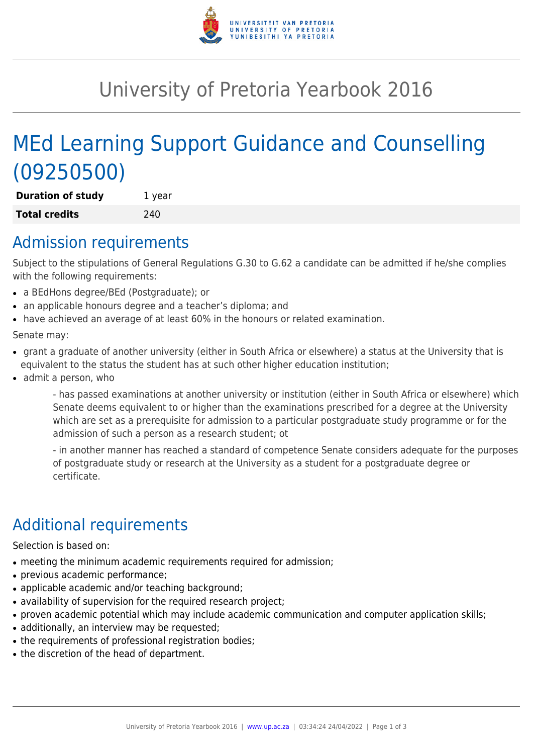

# University of Pretoria Yearbook 2016

# MEd Learning Support Guidance and Counselling (09250500)

**Duration of study** 1 year **Total credits** 240

### Admission requirements

Subject to the stipulations of General Regulations G.30 to G.62 a candidate can be admitted if he/she complies with the following requirements:

- a BEdHons degree/BEd (Postgraduate); or
- an applicable honours degree and a teacher's diploma; and
- have achieved an average of at least 60% in the honours or related examination.

Senate may:

- grant a graduate of another university (either in South Africa or elsewhere) a status at the University that is equivalent to the status the student has at such other higher education institution;
- admit a person, who

- has passed examinations at another university or institution (either in South Africa or elsewhere) which Senate deems equivalent to or higher than the examinations prescribed for a degree at the University which are set as a prerequisite for admission to a particular postgraduate study programme or for the admission of such a person as a research student; ot

- in another manner has reached a standard of competence Senate considers adequate for the purposes of postgraduate study or research at the University as a student for a postgraduate degree or certificate.

## Additional requirements

Selection is based on:

- meeting the minimum academic requirements required for admission;
- previous academic performance;
- applicable academic and/or teaching background;
- availability of supervision for the required research project;
- proven academic potential which may include academic communication and computer application skills;
- additionally, an interview may be requested;
- the requirements of professional registration bodies;
- the discretion of the head of department.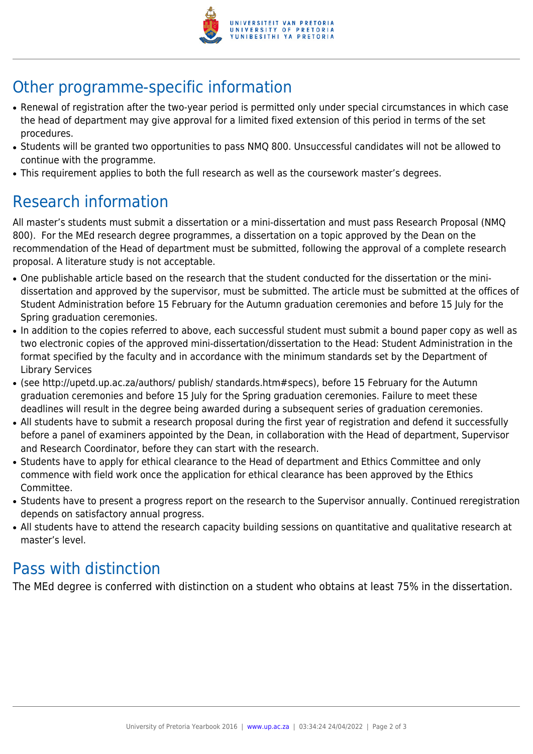

# Other programme-specific information

- Renewal of registration after the two-year period is permitted only under special circumstances in which case the head of department may give approval for a limited fixed extension of this period in terms of the set procedures.
- Students will be granted two opportunities to pass NMQ 800. Unsuccessful candidates will not be allowed to continue with the programme.
- This requirement applies to both the full research as well as the coursework master's degrees.

## Research information

All master's students must submit a dissertation or a mini-dissertation and must pass Research Proposal (NMQ 800). For the MEd research degree programmes, a dissertation on a topic approved by the Dean on the recommendation of the Head of department must be submitted, following the approval of a complete research proposal. A literature study is not acceptable.

- One publishable article based on the research that the student conducted for the dissertation or the minidissertation and approved by the supervisor, must be submitted. The article must be submitted at the offices of Student Administration before 15 February for the Autumn graduation ceremonies and before 15 July for the Spring graduation ceremonies.
- In addition to the copies referred to above, each successful student must submit a bound paper copy as well as two electronic copies of the approved mini-dissertation/dissertation to the Head: Student Administration in the format specified by the faculty and in accordance with the minimum standards set by the Department of Library Services
- (see http://upetd.up.ac.za/authors/ publish/ standards.htm#specs), before 15 February for the Autumn graduation ceremonies and before 15 July for the Spring graduation ceremonies. Failure to meet these deadlines will result in the degree being awarded during a subsequent series of graduation ceremonies.
- All students have to submit a research proposal during the first year of registration and defend it successfully before a panel of examiners appointed by the Dean, in collaboration with the Head of department, Supervisor and Research Coordinator, before they can start with the research.
- Students have to apply for ethical clearance to the Head of department and Ethics Committee and only commence with field work once the application for ethical clearance has been approved by the Ethics Committee.
- Students have to present a progress report on the research to the Supervisor annually. Continued reregistration depends on satisfactory annual progress.
- All students have to attend the research capacity building sessions on quantitative and qualitative research at master's level.

### Pass with distinction

The MEd degree is conferred with distinction on a student who obtains at least 75% in the dissertation.